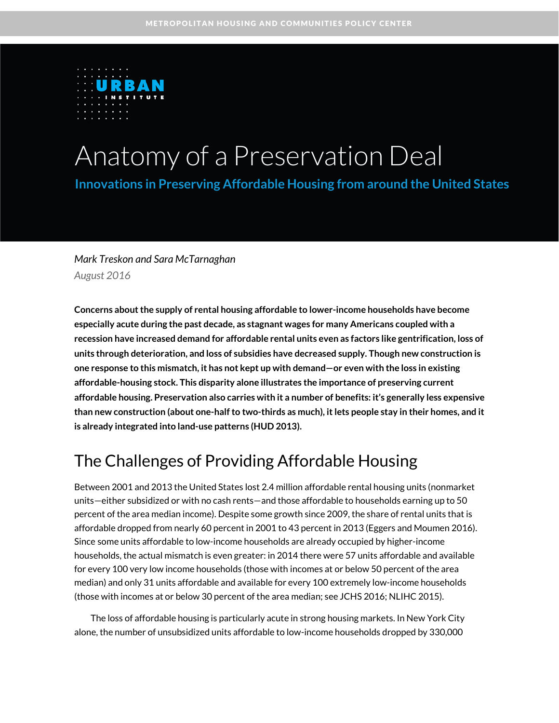

# Anatomy of a Preservation Deal

**Innovations in Preserving Affordable Housing from around the United States** 

### *Mark Treskon and Sara McTarnaghan August 2016*

**Concerns about the supply of rental housing affordable to lower-income households have become especially acute during the past decade, as stagnant wages for many Americans coupled with a recession have increased demand for affordable rental units even as factors like gentrification, loss of units through deterioration, and loss of subsidies have decreased supply. Though new construction is one response to this mismatch, it has not kept up with demand—or even with the loss in existing affordable-housing stock. This disparity alone illustrates the importance of preserving current affordable housing. Preservation also carries with it a number of benefits: it's generally less expensive than new construction (about one-half to two-thirds as much), it lets people stay in their homes, and it is already integrated into land-use patterns (HUD 2013).** 

# The Challenges of Providing Affordable Housing

Between 2001 and 2013 the United States lost 2.4 million affordable rental housing units (nonmarket units—either subsidized or with no cash rents—and those affordable to households earning up to 50 percent of the area median income). Despite some growth since 2009, the share of rental units that is affordable dropped from nearly 60 percent in 2001 to 43 percent in 2013 (Eggers and Moumen 2016). Since some units affordable to low-income households are already occupied by higher-income households, the actual mismatch is even greater: in 2014 there were 57 units affordable and available for every 100 very low income households (those with incomes at or below 50 percent of the area median) and only 31 units affordable and available for every 100 extremely low-income households (those with incomes at or below 30 percent of the area median; see JCHS 2016; NLIHC 2015).

The loss of affordable housing is particularly acute in strong housing markets. In New York City alone, the number of unsubsidized units affordable to low-income households dropped by 330,000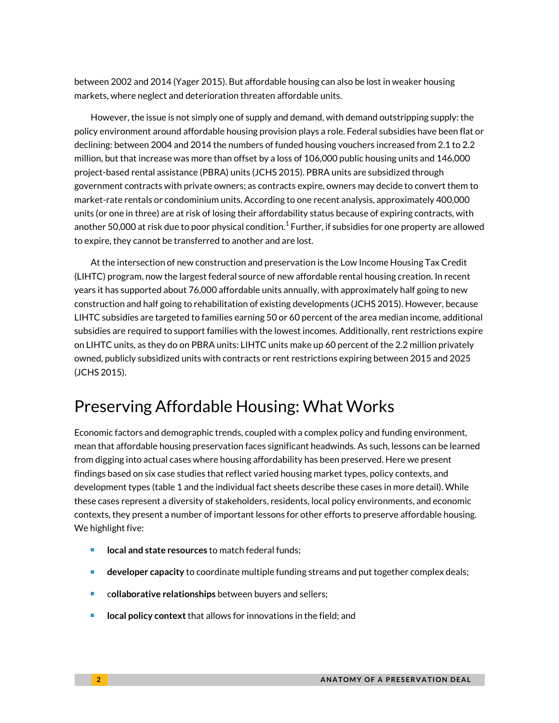between 2002 and 2014 (Yager 2015). But affordable housing can also be lost in weaker housing markets, where neglect and deterioration threaten affordable units.

However, the issue is not simply one of supply and demand, with demand outstripping supply: the policy environment around affordable housing provision plays a role. Federal subsidies have been flat or declining: between 2004 and 2014 the numbers of funded housing vouchers increased from 2.1 to 2.2 million, but that increase was more than offset by a loss of 106,000 public housing units and 146,000 project-based rental assistance (PBRA) units (JCHS 2015). PBRA units are subsidized through government contracts with private owners; as contracts expire, owners may decide to convert them to market-rate rentals or condominium units. According to one recent analysis, approximately 400,000 units (or one in three) are at risk of losing their affordability status because of expiring contracts, with another 50,000 at risk due to poor physical condition. $^1$  $^1$  Further, if subsidies for one property are allowed to expire, they cannot be transferred to another and are lost.

At the intersection of new construction and preservation is the Low Income Housing Tax Credit (LIHTC) program, now the largest federal source of new affordable rental housing creation. In recent years it has supported about 76,000 affordable units annually, with approximately half going to new construction and half going to rehabilitation of existing developments (JCHS 2015). However, because LIHTC subsidies are targeted to families earning 50 or 60 percent of the area median income, additional subsidies are required to support families with the lowest incomes. Additionally, rent restrictions expire on LIHTC units, as they do on PBRA units: LIHTC units make up 60 percent of the 2.2 million privately owned, publicly subsidized units with contracts or rent restrictions expiring between 2015 and 2025 (JCHS 2015).

# Preserving Affordable Housing: What Works

Economic factors and demographic trends, coupled with a complex policy and funding environment, mean that affordable housing preservation faces significant headwinds. As such, lessons can be learned from digging into actual cases where housing affordability has been preserved. Here we present findings based on six case studies that reflect varied housing market types, policy contexts, and development types (table 1 and the individual fact sheets describe these cases in more detail). While these cases represent a diversity of stakeholders, residents, local policy environments, and economic contexts, they present a number of important lessons for other efforts to preserve affordable housing. We highlight five:

- **local and state resources** to match federal funds;
- **developer capacity** to coordinate multiple funding streams and put together complex deals;
- c**ollaborative relationships** between buyers and sellers;
- **local policy context**that allows for innovations in the field; and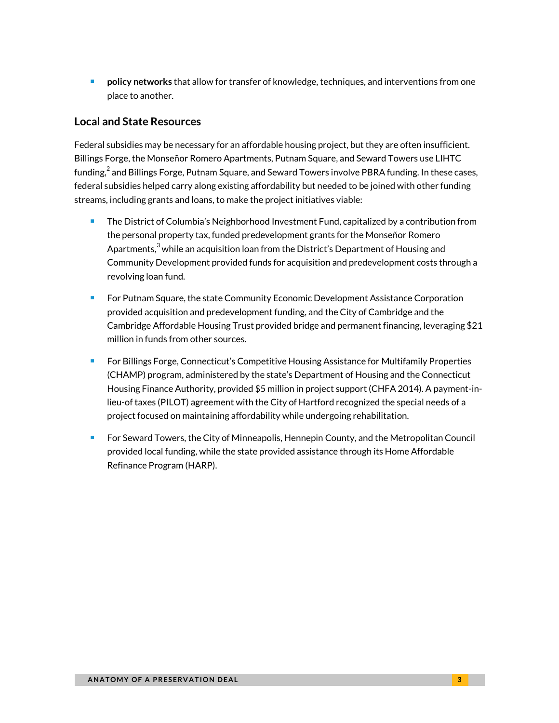**policy networks** that allow for transfer of knowledge, techniques, and interventions from one place to another.

### **Local and State Resources**

Federal subsidies may be necessary for an affordable housing project, but they are often insufficient. Billings Forge, the Monseñor Romero Apartments, Putnam Square, and Seward Towers use LIHTC funding, $^2$  $^2$  and Billings Forge, Putnam Square, and Seward Towers involve PBRA funding. In these cases, federal subsidies helped carry along existing affordability but needed to be joined with other funding streams, including grants and loans, to make the project initiatives viable:

- The District of Columbia's Neighborhood Investment Fund, capitalized by a contribution from the personal property tax, funded predevelopment grants for the Monseñor Romero Apartment[s,](#page-9-2)<sup>3</sup> while an acquisition loan from the District's Department of Housing and Community Development provided funds for acquisition and predevelopment costs through a revolving loan fund.
- For Putnam Square, the state Community Economic Development Assistance Corporation provided acquisition and predevelopment funding, and the City of Cambridge and the Cambridge Affordable Housing Trust provided bridge and permanent financing, leveraging \$21 million in funds from other sources.
- For Billings Forge, Connecticut's Competitive Housing Assistance for Multifamily Properties (CHAMP) program, administered by the state's Department of Housing and the Connecticut Housing Finance Authority, provided \$5 million in project support (CHFA 2014). A payment-inlieu-of taxes (PILOT) agreement with the City of Hartford recognized the special needs of a project focused on maintaining affordability while undergoing rehabilitation.
- For Seward Towers, the City of Minneapolis, Hennepin County, and the Metropolitan Council provided local funding, while the state provided assistance through its Home Affordable Refinance Program (HARP).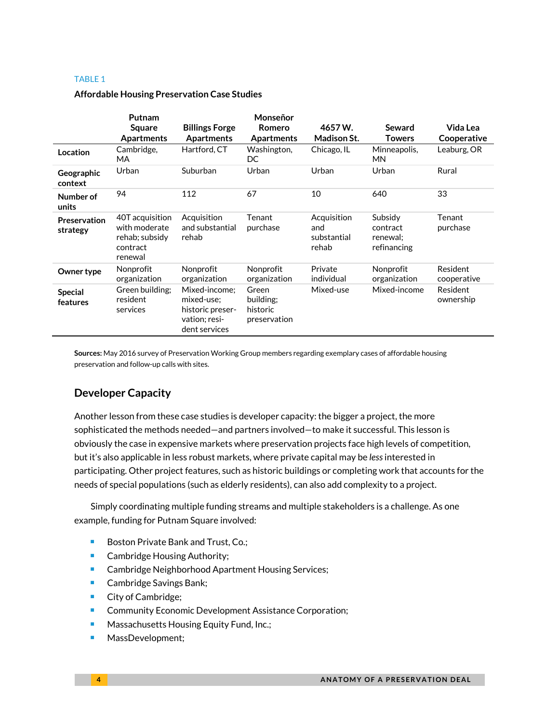#### TABLE 1

#### **Affordable Housing Preservation Case Studies**

|                            | Putnam                                                                    |                                                                                   | Monseñor                                       |                                            |                                                |                         |
|----------------------------|---------------------------------------------------------------------------|-----------------------------------------------------------------------------------|------------------------------------------------|--------------------------------------------|------------------------------------------------|-------------------------|
|                            | <b>Square</b><br><b>Apartments</b>                                        | <b>Billings Forge</b><br><b>Apartments</b>                                        | Romero<br><b>Apartments</b>                    | 4657 W.<br><b>Madison St.</b>              | Seward<br><b>Towers</b>                        | Vida Lea<br>Cooperative |
| Location                   | Cambridge,<br>MA                                                          | Hartford, CT                                                                      | Washington,<br>DC.                             | Chicago, IL                                | Minneapolis,<br><b>MN</b>                      | Leaburg, OR             |
| Geographic<br>context      | Urban                                                                     | Suburban                                                                          | Urban                                          | Urban                                      | Urban                                          | Rural                   |
| Number of<br>units         | 94                                                                        | 112                                                                               | 67                                             | 10                                         | 640                                            | 33                      |
| Preservation<br>strategy   | 40T acquisition<br>with moderate<br>rehab; subsidy<br>contract<br>renewal | Acquisition<br>and substantial<br>rehab                                           | Tenant<br>purchase                             | Acquisition<br>and<br>substantial<br>rehab | Subsidy<br>contract<br>renewal:<br>refinancing | Tenant<br>purchase      |
| Owner type                 | Nonprofit<br>organization                                                 | Nonprofit<br>organization                                                         | Nonprofit<br>organization                      | Private<br>individual                      | Nonprofit<br>organization                      | Resident<br>cooperative |
| <b>Special</b><br>features | Green building:<br>resident<br>services                                   | Mixed-income:<br>mixed-use:<br>historic preser-<br>vation; resi-<br>dent services | Green<br>building:<br>historic<br>preservation | Mixed-use                                  | Mixed-income                                   | Resident<br>ownership   |

**Sources:** May 2016 survey of Preservation Working Group members regarding exemplary cases of affordable housing preservation and follow-up calls with sites.

#### **Developer Capacity**

Another lesson from these case studies is developer capacity: the bigger a project, the more sophisticated the methods needed—and partners involved—to make it successful. This lesson is obviously the case in expensive markets where preservation projects face high levels of competition, but it's also applicable in less robust markets, where private capital may be *less* interested in participating. Other project features, such as historic buildings or completing work that accounts for the needs of special populations (such as elderly residents), can also add complexity to a project.

Simply coordinating multiple funding streams and multiple stakeholders is a challenge. As one example, funding for Putnam Square involved:

- Boston Private Bank and Trust, Co.;
- **Cambridge Housing Authority;**
- **E** Cambridge Neighborhood Apartment Housing Services;
- Cambridge Savings Bank;
- City of Cambridge;
- **EXECOMMUNICE:** Community Economic Development Assistance Corporation;
- Massachusetts Housing Equity Fund, Inc.;
- MassDevelopment;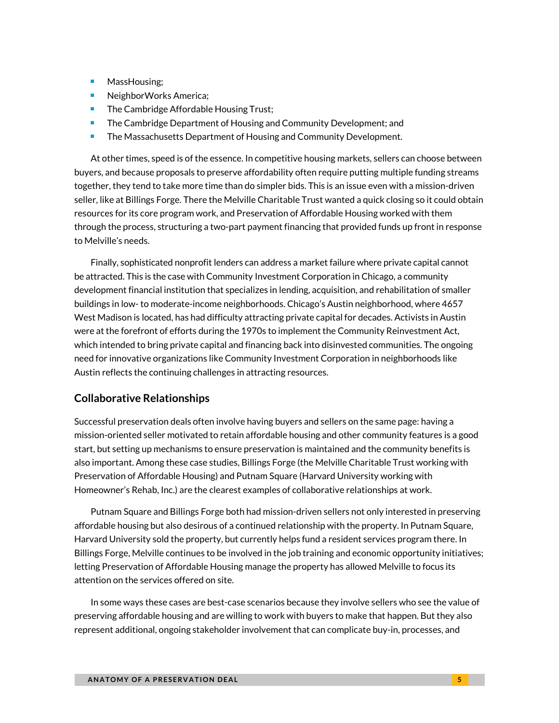- MassHousing;
- NeighborWorks America;
- The Cambridge Affordable Housing Trust;
- The Cambridge Department of Housing and Community Development; and
- **The Massachusetts Department of Housing and Community Development.**

At other times, speed is of the essence. In competitive housing markets, sellers can choose between buyers, and because proposals to preserve affordability often require putting multiple funding streams together, they tend to take more time than do simpler bids. This is an issue even with a mission-driven seller, like at Billings Forge. There the Melville Charitable Trust wanted a quick closing so it could obtain resources for its core program work, and Preservation of Affordable Housing worked with them through the process, structuring a two-part payment financing that provided funds up front in response to Melville's needs.

Finally, sophisticated nonprofit lenders can address a market failure where private capital cannot be attracted. This is the case with Community Investment Corporation in Chicago, a community development financial institution that specializes in lending, acquisition, and rehabilitation of smaller buildings in low- to moderate-income neighborhoods. Chicago's Austin neighborhood, where 4657 West Madison is located, has had difficulty attracting private capital for decades. Activists in Austin were at the forefront of efforts during the 1970s to implement the Community Reinvestment Act, which intended to bring private capital and financing back into disinvested communities. The ongoing need for innovative organizations like Community Investment Corporation in neighborhoods like Austin reflects the continuing challenges in attracting resources.

### **Collaborative Relationships**

Successful preservation deals often involve having buyers and sellers on the same page: having a mission-oriented seller motivated to retain affordable housing and other community features is a good start, but setting up mechanisms to ensure preservation is maintained and the community benefits is also important. Among these case studies, Billings Forge (the Melville Charitable Trust working with Preservation of Affordable Housing) and Putnam Square (Harvard University working with Homeowner's Rehab, Inc.) are the clearest examples of collaborative relationships at work.

Putnam Square and Billings Forge both had mission-driven sellers not only interested in preserving affordable housing but also desirous of a continued relationship with the property. In Putnam Square, Harvard University sold the property, but currently helps fund a resident services program there. In Billings Forge, Melville continues to be involved in the job training and economic opportunity initiatives; letting Preservation of Affordable Housing manage the property has allowed Melville to focus its attention on the services offered on site.

In some ways these cases are best-case scenarios because they involve sellers who see the value of preserving affordable housing and are willing to work with buyers to make that happen. But they also represent additional, ongoing stakeholder involvement that can complicate buy-in, processes, and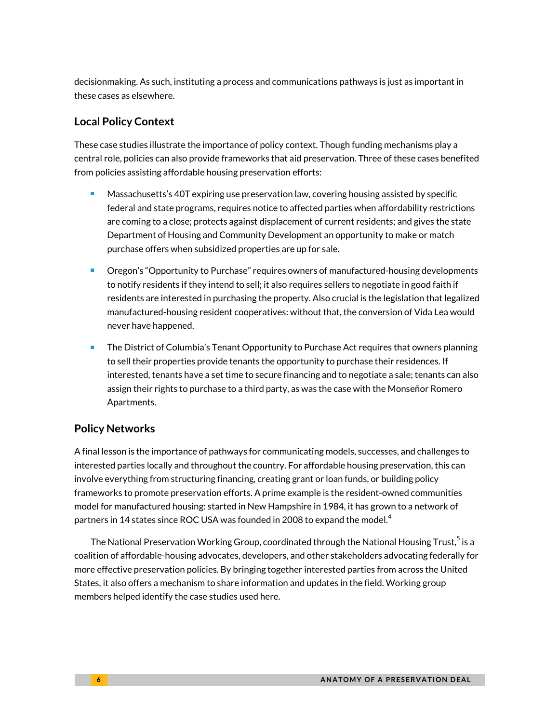decisionmaking. As such, instituting a process and communications pathways is just as important in these cases as elsewhere.

### **Local Policy Context**

These case studies illustrate the importance of policy context. Though funding mechanisms play a central role, policies can also provide frameworks that aid preservation. Three of these cases benefited from policies assisting affordable housing preservation efforts:

- **Massachusetts's 40T expiring use preservation law, covering housing assisted by specific** federal and state programs, requires notice to affected parties when affordability restrictions are coming to a close; protects against displacement of current residents; and gives the state Department of Housing and Community Development an opportunity to make or match purchase offers when subsidized properties are up for sale.
- Oregon's "Opportunity to Purchase" requires owners of manufactured-housing developments to notify residents if they intend to sell; it also requires sellers to negotiate in good faith if residents are interested in purchasing the property. Also crucial is the legislation that legalized manufactured-housing resident cooperatives: without that, the conversion of Vida Lea would never have happened.
- The District of Columbia's Tenant Opportunity to Purchase Act requires that owners planning to sell their properties provide tenants the opportunity to purchase their residences. If interested, tenants have a set time to secure financing and to negotiate a sale; tenants can also assign their rights to purchase to a third party, as was the case with the Monseñor Romero Apartments.

### **Policy Networks**

A final lesson is the importance of pathways for communicating models, successes, and challenges to interested parties locally and throughout the country. For affordable housing preservation, this can involve everything from structuring financing, creating grant or loan funds, or building policy frameworks to promote preservation efforts. A prime example is the resident-owned communities model for manufactured housing: started in New Hampshire in 1984, it has grown to a network of partners in 1[4](#page-9-3) states since ROC USA was founded in 2008 to expand the model. $^{\text{4}}$ 

The National Preservation Working Group, coordinated through the National Housing Trust, $^5$  $^5$  is a coalition of affordable-housing advocates, developers, and other stakeholders advocating federally for more effective preservation policies. By bringing together interested parties from across the United States, it also offers a mechanism to share information and updates in the field. Working group members helped identify the case studies used here.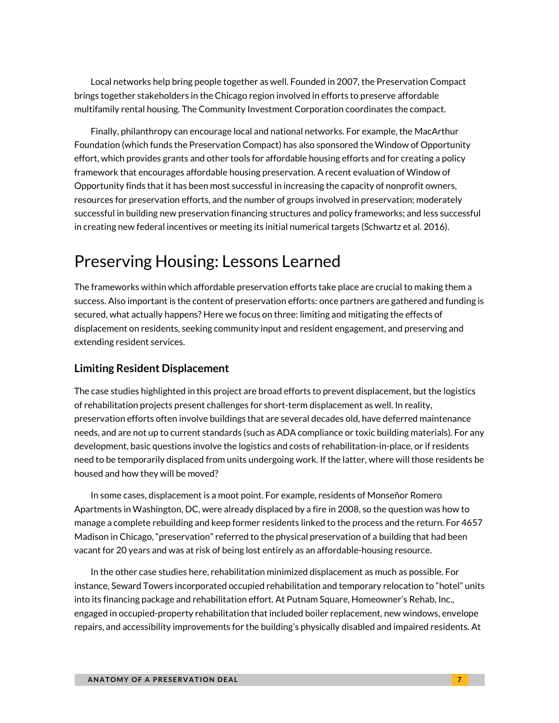Local networks help bring people together as well. Founded in 2007, the Preservation Compact brings together stakeholders in the Chicago region involved in efforts to preserve affordable multifamily rental housing. The Community Investment Corporation coordinates the compact.

Finally, philanthropy can encourage local and national networks. For example, the MacArthur Foundation (which funds the Preservation Compact) has also sponsored the Window of Opportunity effort, which provides grants and other tools for affordable housing efforts and for creating a policy framework that encourages affordable housing preservation. A recent evaluation of Window of Opportunity finds that it has been most successful in increasing the capacity of nonprofit owners, resources for preservation efforts, and the number of groups involved in preservation; moderately successful in building new preservation financing structures and policy frameworks; and less successful in creating new federal incentives or meeting its initial numerical targets (Schwartz et al. 2016).

### Preserving Housing: Lessons Learned

The frameworks within which affordable preservation efforts take place are crucial to making them a success. Also important is the content of preservation efforts: once partners are gathered and funding is secured, what actually happens? Here we focus on three: limiting and mitigating the effects of displacement on residents, seeking community input and resident engagement, and preserving and extending resident services.

### **Limiting Resident Displacement**

The case studies highlighted in this project are broad efforts to prevent displacement, but the logistics of rehabilitation projects present challenges for short-term displacement as well. In reality, preservation efforts often involve buildings that are several decades old, have deferred maintenance needs, and are not up to current standards (such as ADA compliance or toxic building materials). For any development, basic questions involve the logistics and costs of rehabilitation-in-place, or if residents need to be temporarily displaced from units undergoing work. If the latter, where will those residents be housed and how they will be moved?

In some cases, displacement is a moot point. For example, residents of Monseñor Romero Apartments in Washington, DC, were already displaced by a fire in 2008, so the question was how to manage a complete rebuilding and keep former residents linked to the process and the return. For 4657 Madison in Chicago, "preservation" referred to the physical preservation of a building that had been vacant for 20 years and was at risk of being lost entirely as an affordable-housing resource.

In the other case studies here, rehabilitation minimized displacement as much as possible. For instance, Seward Towers incorporated occupied rehabilitation and temporary relocation to "hotel" units into its financing package and rehabilitation effort. At Putnam Square, Homeowner's Rehab, Inc., engaged in occupied-property rehabilitation that included boiler replacement, new windows, envelope repairs, and accessibility improvements for the building's physically disabled and impaired residents. At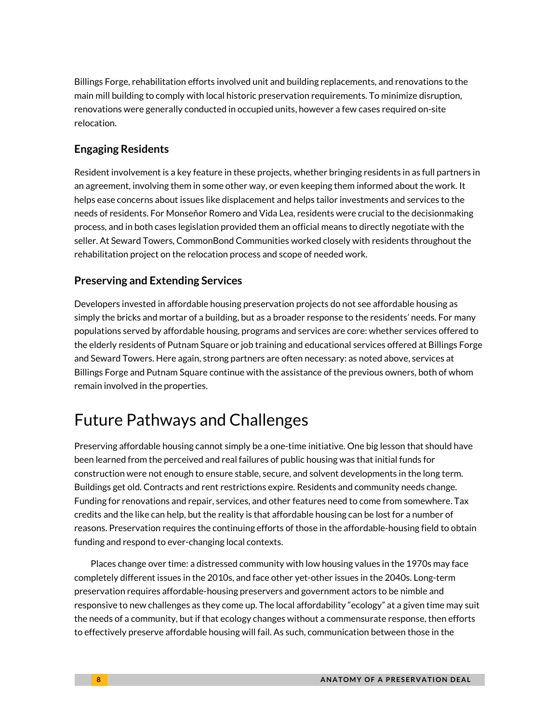Billings Forge, rehabilitation efforts involved unit and building replacements, and renovations to the main mill building to comply with local historic preservation requirements. To minimize disruption, renovations were generally conducted in occupied units, however a few cases required on-site relocation.

### **Engaging Residents**

Resident involvement is a key feature in these projects, whether bringing residents in as full partners in an agreement, involving them in some other way, or even keeping them informed about the work. It helps ease concerns about issues like displacement and helps tailor investments and services to the needs of residents. For Monseñor Romero and Vida Lea, residents were crucial to the decisionmaking process, and in both cases legislation provided them an official means to directly negotiate with the seller. At Seward Towers, CommonBond Communities worked closely with residents throughout the rehabilitation project on the relocation process and scope of needed work.

### **Preserving and Extending Services**

Developers invested in affordable housing preservation projects do not see affordable housing as simply the bricks and mortar of a building, but as a broader response to the residents' needs. For many populations served by affordable housing, programs and services are core: whether services offered to the elderly residents of Putnam Square or job training and educational services offered at Billings Forge and Seward Towers. Here again, strong partners are often necessary: as noted above, services at Billings Forge and Putnam Square continue with the assistance of the previous owners, both of whom remain involved in the properties.

# Future Pathways and Challenges

Preserving affordable housing cannot simply be a one-time initiative. One big lesson that should have been learned from the perceived and real failures of public housing was that initial funds for construction were not enough to ensure stable, secure, and solvent developments in the long term. Buildings get old. Contracts and rent restrictions expire. Residents and community needs change. Funding for renovations and repair, services, and other features need to come from somewhere. Tax credits and the like can help, but the reality is that affordable housing can be lost for a number of reasons. Preservation requires the continuing efforts of those in the affordable-housing field to obtain funding and respond to ever-changing local contexts.

Places change over time: a distressed community with low housing values in the 1970s may face completely different issues in the 2010s, and face other yet-other issues in the 2040s. Long-term preservation requires affordable-housing preservers and government actors to be nimble and responsive to new challenges as they come up. The local affordability "ecology" at a given time may suit the needs of a community, but if that ecology changes without a commensurate response, then efforts to effectively preserve affordable housing will fail. As such, communication between those in the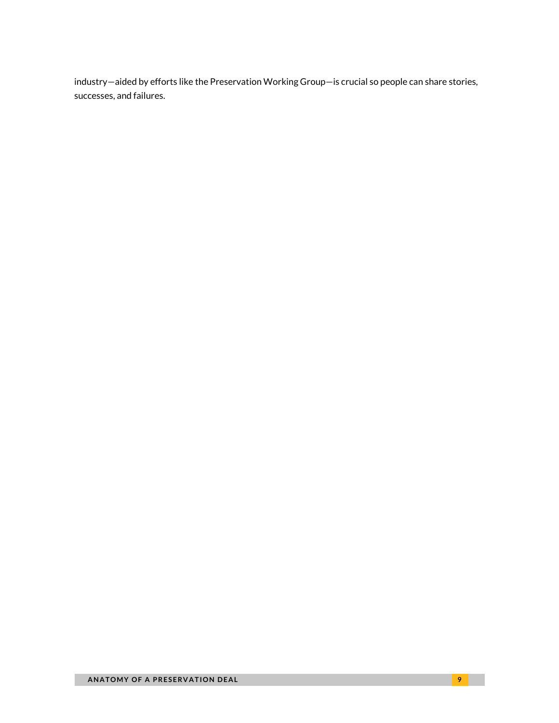industry—aided by efforts like the Preservation Working Group—is crucial so people can share stories, successes, and failures.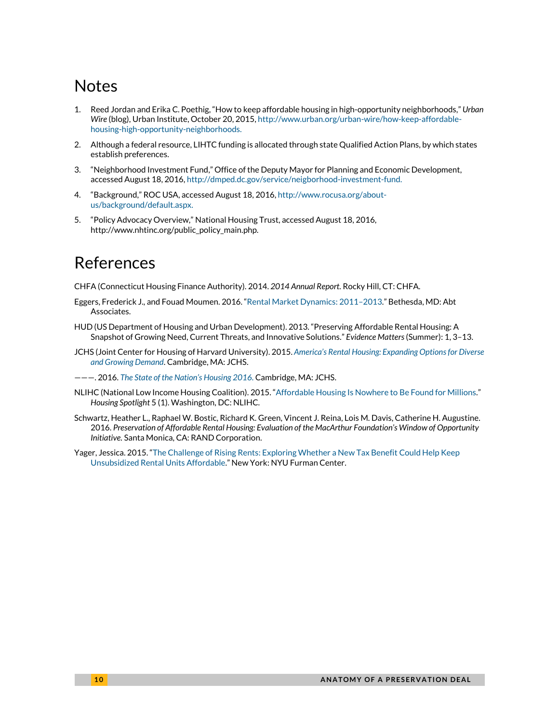# Notes

- <span id="page-9-0"></span>1. Reed Jordan and Erika C. Poethig, "How to keep affordable housing in high-opportunity neighborhoods," *Urban Wire* (blog), Urban Institute, October 20, 2015[, http://www.urban.org/urban-wire/how-keep-affordable](http://www.urban.org/urban-wire/how-keep-affordable-housing-high-opportunity-neighborhoods)[housing-high-opportunity-neighborhoods.](http://www.urban.org/urban-wire/how-keep-affordable-housing-high-opportunity-neighborhoods)
- <span id="page-9-1"></span>2. Although a federal resource, LIHTC funding is allocated through state Qualified Action Plans, by which states establish preferences.
- <span id="page-9-2"></span>3. "Neighborhood Investment Fund," Office of the Deputy Mayor for Planning and Economic Development, accessed August 18, 2016[, http://dmped.dc.gov/service/neigborhood-investment-fund.](http://dmped.dc.gov/service/neigborhood-investment-fund)
- <span id="page-9-3"></span>4. "Background," ROC USA, accessed August 18, 2016[, http://www.rocusa.org/about](http://www.rocusa.org/about-us/background/default.aspx)[us/background/default.aspx.](http://www.rocusa.org/about-us/background/default.aspx)
- <span id="page-9-4"></span>5. "Policy Advocacy Overview," National Housing Trust, accessed August 18, 2016, http://www.nhtinc.org/public\_policy\_main.php.

### References

CHFA (Connecticut Housing Finance Authority). 2014. *2014 Annual Report.* Rocky Hill, CT: CHFA.

- Eggers, Frederick J., and Fouad Moumen. 2016. ["Rental Market Dynamics: 2011–2013."](https://www.huduser.gov/portal/datasets/cinch/cinch13/Rental-Dynamics-Report.pdf) Bethesda, MD: Abt Associates.
- HUD (US Department of Housing and Urban Development). 2013. "Preserving Affordable Rental Housing: A Snapshot of Growing Need, Current Threats, and Innovative Solutions." *Evidence Matters* (Summer): 1, 3–13.
- JCHS (Joint Center for Housing of Harvard University). 2015. *[America's Rental Housing: Expanding Options for Diverse](http://jchs.harvard.edu/sites/jchs.harvard.edu/files/americas_rental_housing_2015_web.pdf)  [and Growing Demand](http://jchs.harvard.edu/sites/jchs.harvard.edu/files/americas_rental_housing_2015_web.pdf)*. Cambridge, MA: JCHS.
- ———. 2016. *[The State of the Nation's Housing 2016.](http://www.jchs.harvard.edu/sites/jchs.harvard.edu/files/jchs_2016_state_of_the_nations_housing_lowres.pdf)* Cambridge, MA: JCHS.
- NLIHC (National Low Income Housing Coalition). 2015. ["Affordable Housing Is Nowhere to Be Found for Millions."](http://nlihc.org/sites/default/files/Housing-Spotlight_Volume-5_Issue-1.pdf) *Housing Spotlight* 5 (1). Washington, DC: NLIHC.
- Schwartz, Heather L., Raphael W. Bostic, Richard K. Green, Vincent J. Reina, Lois M. Davis, Catherine H. Augustine. 2016. *Preservation of Affordable Rental Housing: Evaluation of the MacArthur Foundation's Window of Opportunity Initiative.* Santa Monica, CA: RAND Corporation.
- Yager, Jessica. 2015. ["The Challenge of Rising Rents: Exploring Whether a New Tax Benefit Could Help Keep](http://furmancenter.org/thestoop/entry/report-the-challenge-of-rising-rents)  [Unsubsidized Rental Units Affordable."](http://furmancenter.org/thestoop/entry/report-the-challenge-of-rising-rents) New York: NYU Furman Center.